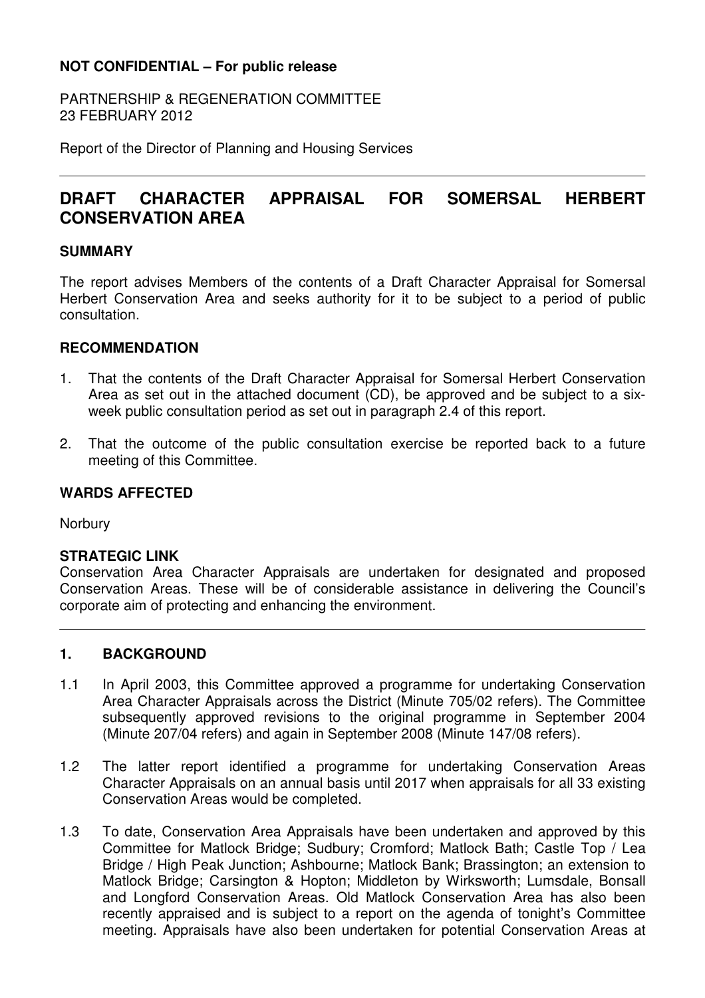# **NOT CONFIDENTIAL – For public release**

PARTNERSHIP & REGENERATION COMMITTEE 23 FEBRUARY 2012

Report of the Director of Planning and Housing Services

# **DRAFT CHARACTER APPRAISAL FOR SOMERSAL HERBERT CONSERVATION AREA**

### **SUMMARY**

The report advises Members of the contents of a Draft Character Appraisal for Somersal Herbert Conservation Area and seeks authority for it to be subject to a period of public consultation.

## **RECOMMENDATION**

- 1. That the contents of the Draft Character Appraisal for Somersal Herbert Conservation Area as set out in the attached document (CD), be approved and be subject to a sixweek public consultation period as set out in paragraph 2.4 of this report.
- 2. That the outcome of the public consultation exercise be reported back to a future meeting of this Committee.

## **WARDS AFFECTED**

**Norbury** 

#### **STRATEGIC LINK**

Conservation Area Character Appraisals are undertaken for designated and proposed Conservation Areas. These will be of considerable assistance in delivering the Council's corporate aim of protecting and enhancing the environment.

#### **1. BACKGROUND**

- 1.1 In April 2003, this Committee approved a programme for undertaking Conservation Area Character Appraisals across the District (Minute 705/02 refers). The Committee subsequently approved revisions to the original programme in September 2004 (Minute 207/04 refers) and again in September 2008 (Minute 147/08 refers).
- 1.2 The latter report identified a programme for undertaking Conservation Areas Character Appraisals on an annual basis until 2017 when appraisals for all 33 existing Conservation Areas would be completed.
- 1.3 To date, Conservation Area Appraisals have been undertaken and approved by this Committee for Matlock Bridge; Sudbury; Cromford; Matlock Bath; Castle Top / Lea Bridge / High Peak Junction; Ashbourne; Matlock Bank; Brassington; an extension to Matlock Bridge; Carsington & Hopton; Middleton by Wirksworth; Lumsdale, Bonsall and Longford Conservation Areas. Old Matlock Conservation Area has also been recently appraised and is subject to a report on the agenda of tonight's Committee meeting. Appraisals have also been undertaken for potential Conservation Areas at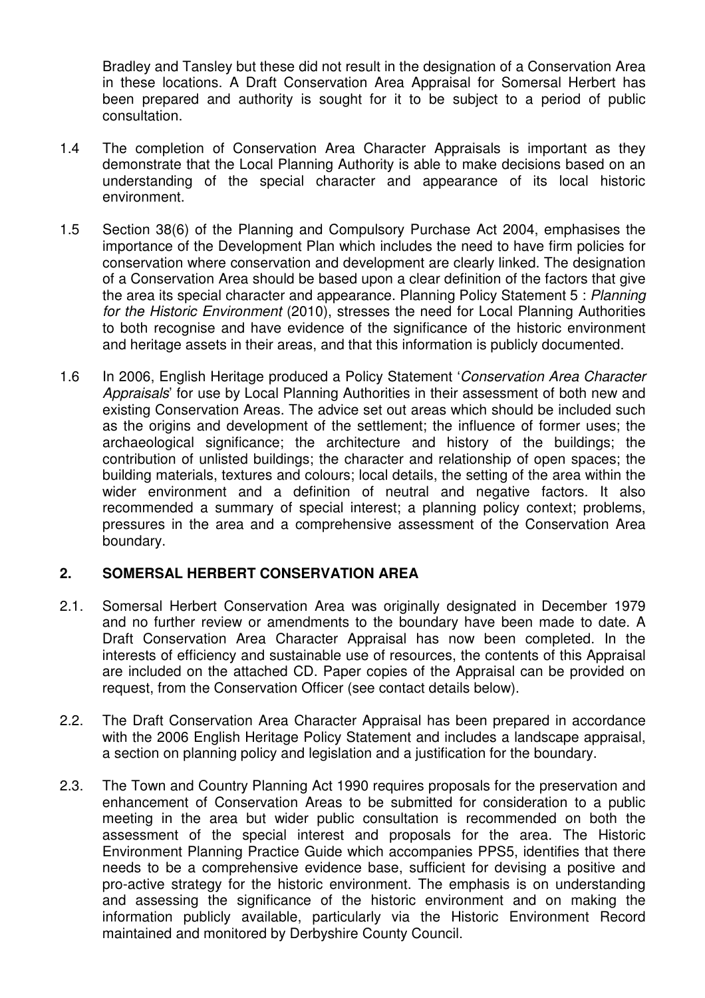Bradley and Tansley but these did not result in the designation of a Conservation Area in these locations. A Draft Conservation Area Appraisal for Somersal Herbert has been prepared and authority is sought for it to be subject to a period of public consultation.

- 1.4 The completion of Conservation Area Character Appraisals is important as they demonstrate that the Local Planning Authority is able to make decisions based on an understanding of the special character and appearance of its local historic environment.
- 1.5 Section 38(6) of the Planning and Compulsory Purchase Act 2004, emphasises the importance of the Development Plan which includes the need to have firm policies for conservation where conservation and development are clearly linked. The designation of a Conservation Area should be based upon a clear definition of the factors that give the area its special character and appearance. Planning Policy Statement 5 : Planning for the Historic Environment (2010), stresses the need for Local Planning Authorities to both recognise and have evidence of the significance of the historic environment and heritage assets in their areas, and that this information is publicly documented.
- 1.6 In 2006, English Heritage produced a Policy Statement 'Conservation Area Character Appraisals' for use by Local Planning Authorities in their assessment of both new and existing Conservation Areas. The advice set out areas which should be included such as the origins and development of the settlement; the influence of former uses; the archaeological significance; the architecture and history of the buildings; the contribution of unlisted buildings; the character and relationship of open spaces; the building materials, textures and colours; local details, the setting of the area within the wider environment and a definition of neutral and negative factors. It also recommended a summary of special interest; a planning policy context; problems, pressures in the area and a comprehensive assessment of the Conservation Area boundary.

#### **2. SOMERSAL HERBERT CONSERVATION AREA**

- 2.1. Somersal Herbert Conservation Area was originally designated in December 1979 and no further review or amendments to the boundary have been made to date. A Draft Conservation Area Character Appraisal has now been completed. In the interests of efficiency and sustainable use of resources, the contents of this Appraisal are included on the attached CD. Paper copies of the Appraisal can be provided on request, from the Conservation Officer (see contact details below).
- 2.2. The Draft Conservation Area Character Appraisal has been prepared in accordance with the 2006 English Heritage Policy Statement and includes a landscape appraisal, a section on planning policy and legislation and a justification for the boundary.
- 2.3. The Town and Country Planning Act 1990 requires proposals for the preservation and enhancement of Conservation Areas to be submitted for consideration to a public meeting in the area but wider public consultation is recommended on both the assessment of the special interest and proposals for the area. The Historic Environment Planning Practice Guide which accompanies PPS5, identifies that there needs to be a comprehensive evidence base, sufficient for devising a positive and pro-active strategy for the historic environment. The emphasis is on understanding and assessing the significance of the historic environment and on making the information publicly available, particularly via the Historic Environment Record maintained and monitored by Derbyshire County Council.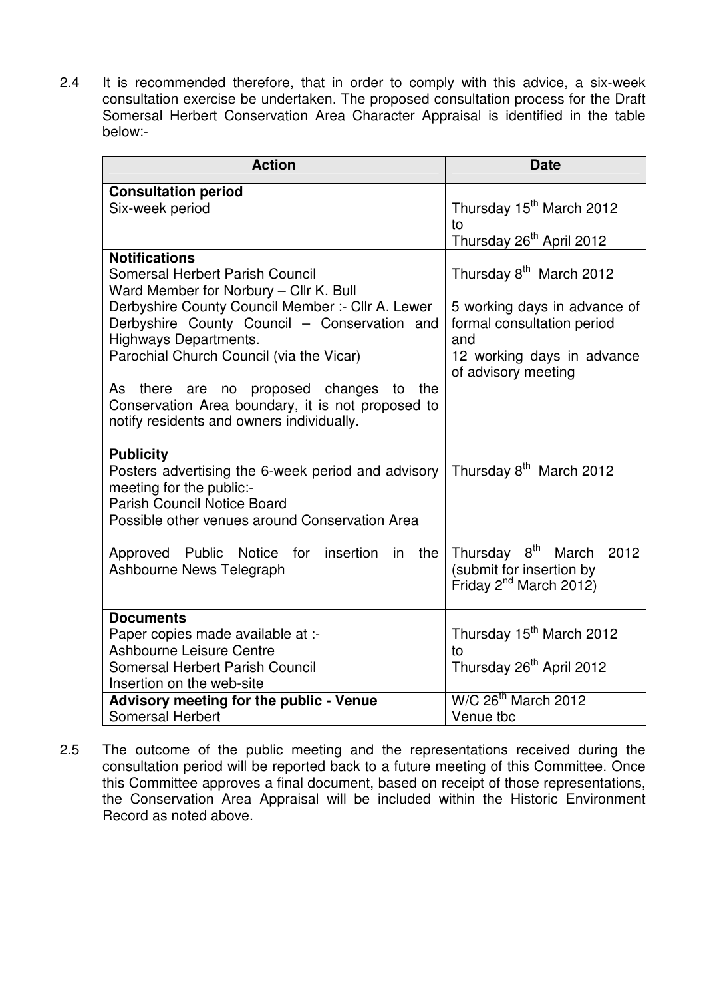2.4 It is recommended therefore, that in order to comply with this advice, a six-week consultation exercise be undertaken. The proposed consultation process for the Draft Somersal Herbert Conservation Area Character Appraisal is identified in the table below:-

| <b>Action</b>                                                                                                                                                                                                                                                                                                                                                                                                                             | <b>Date</b>                                                                                                                                                   |
|-------------------------------------------------------------------------------------------------------------------------------------------------------------------------------------------------------------------------------------------------------------------------------------------------------------------------------------------------------------------------------------------------------------------------------------------|---------------------------------------------------------------------------------------------------------------------------------------------------------------|
| <b>Consultation period</b><br>Six-week period                                                                                                                                                                                                                                                                                                                                                                                             | Thursday 15 <sup>th</sup> March 2012<br>to<br>Thursday 26 <sup>th</sup> April 2012                                                                            |
| <b>Notifications</b><br><b>Somersal Herbert Parish Council</b><br>Ward Member for Norbury - Cllr K. Bull<br>Derbyshire County Council Member :- Cllr A. Lewer<br>Derbyshire County Council - Conservation and<br><b>Highways Departments.</b><br>Parochial Church Council (via the Vicar)<br>As there are no proposed changes to<br>the<br>Conservation Area boundary, it is not proposed to<br>notify residents and owners individually. | Thursday 8 <sup>th</sup> March 2012<br>5 working days in advance of<br>formal consultation period<br>and<br>12 working days in advance<br>of advisory meeting |
| <b>Publicity</b><br>Posters advertising the 6-week period and advisory<br>meeting for the public:-<br><b>Parish Council Notice Board</b><br>Possible other venues around Conservation Area                                                                                                                                                                                                                                                | Thursday 8 <sup>th</sup> March 2012                                                                                                                           |
| Approved Public Notice for insertion in the<br>Ashbourne News Telegraph                                                                                                                                                                                                                                                                                                                                                                   | Thursday 8 <sup>th</sup><br>2012<br>March<br>(submit for insertion by<br>Friday 2 <sup>nd</sup> March 2012)                                                   |
| <b>Documents</b>                                                                                                                                                                                                                                                                                                                                                                                                                          |                                                                                                                                                               |
| Paper copies made available at :-                                                                                                                                                                                                                                                                                                                                                                                                         | Thursday 15 <sup>th</sup> March 2012                                                                                                                          |
| <b>Ashbourne Leisure Centre</b><br>Somersal Herbert Parish Council                                                                                                                                                                                                                                                                                                                                                                        | tο<br>Thursday 26 <sup>th</sup> April 2012                                                                                                                    |
| Insertion on the web-site                                                                                                                                                                                                                                                                                                                                                                                                                 |                                                                                                                                                               |
| <b>Advisory meeting for the public - Venue</b>                                                                                                                                                                                                                                                                                                                                                                                            | W/C 26 <sup>th</sup> March 2012                                                                                                                               |
| <b>Somersal Herbert</b>                                                                                                                                                                                                                                                                                                                                                                                                                   | Venue tbc                                                                                                                                                     |

2.5 The outcome of the public meeting and the representations received during the consultation period will be reported back to a future meeting of this Committee. Once this Committee approves a final document, based on receipt of those representations, the Conservation Area Appraisal will be included within the Historic Environment Record as noted above.